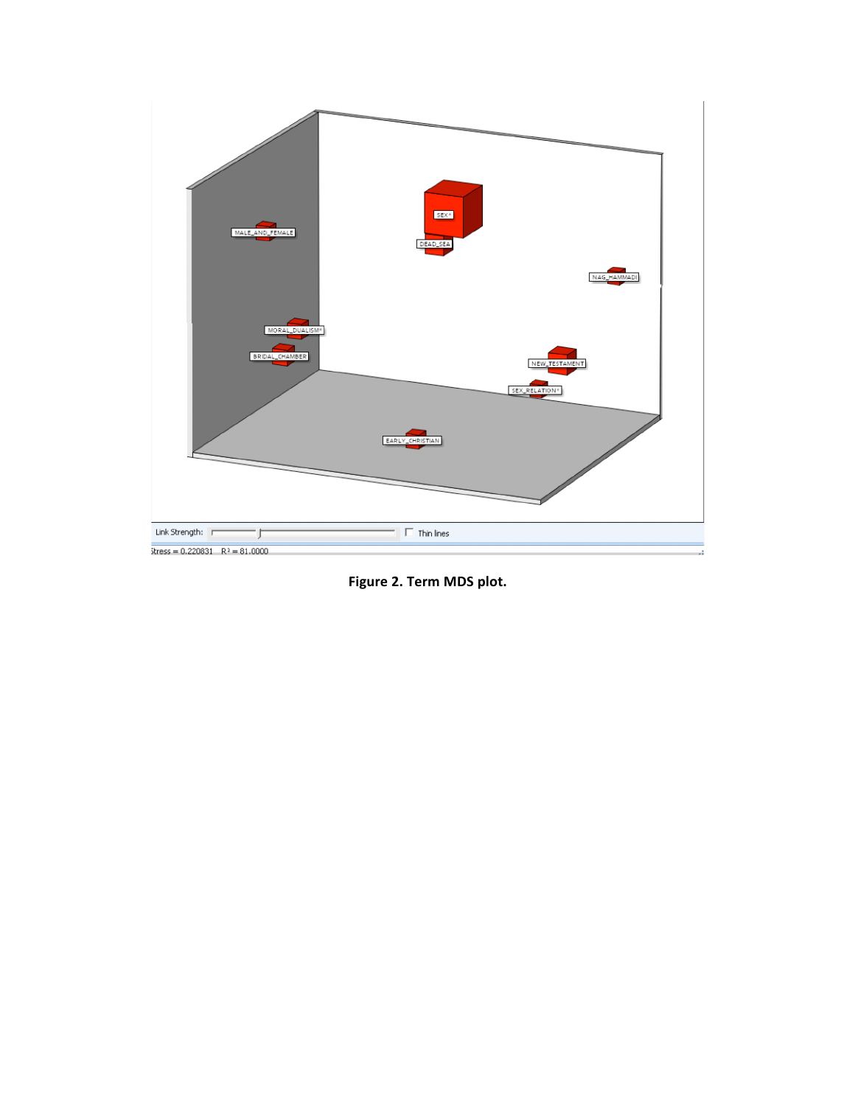

**Figure 2. Term MDS plot.**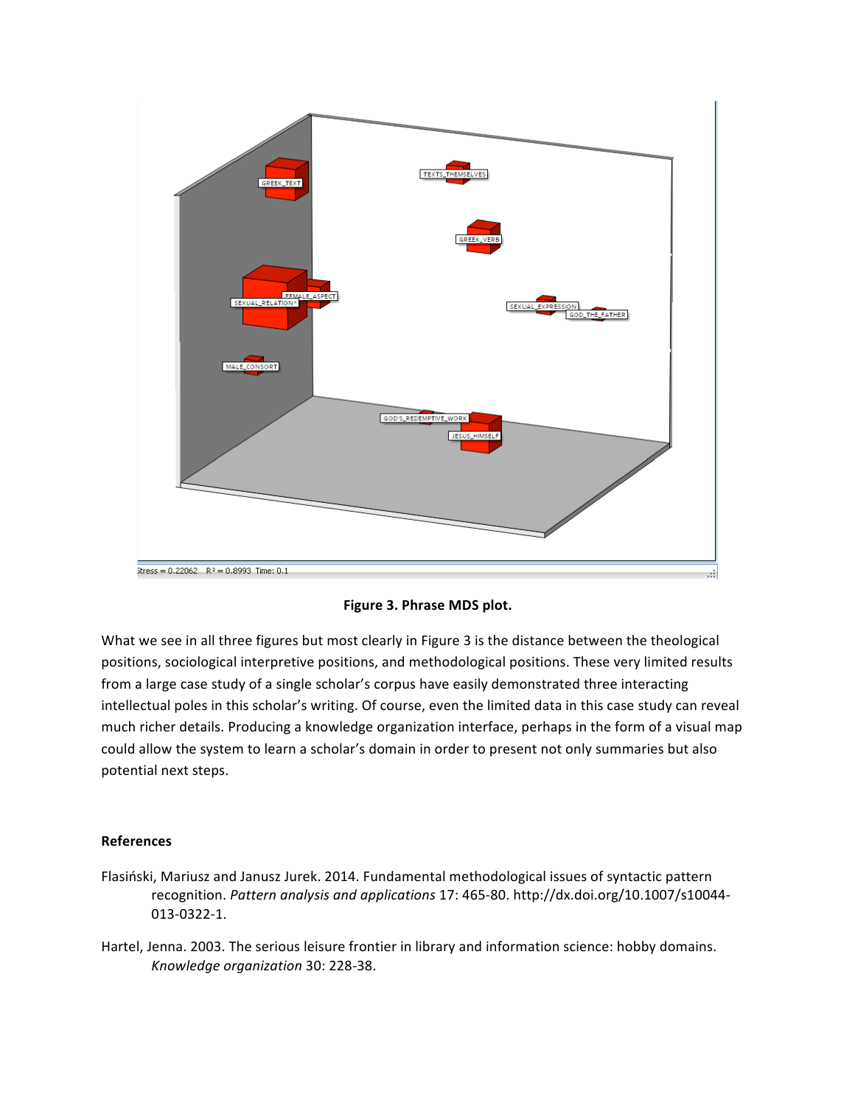

**Figure 3. Phrase MDS plot.**

What we see in all three figures but most clearly in Figure 3 is the distance between the theological positions, sociological interpretive positions, and methodological positions. These very limited results from a large case study of a single scholar's corpus have easily demonstrated three interacting intellectual poles in this scholar's writing. Of course, even the limited data in this case study can reveal much richer details. Producing a knowledge organization interface, perhaps in the form of a visual map could allow the system to learn a scholar's domain in order to present not only summaries but also potential next steps.

## **References**

- Flasiński, Mariusz and Janusz Jurek. 2014. Fundamental methodological issues of syntactic pattern recognition. Pattern analysis and applications 17: 465-80. http://dx.doi.org/10.1007/s10044-013-0322-1.
- Hartel, Jenna. 2003. The serious leisure frontier in library and information science: hobby domains. *Knowledge organization* 30: 228-38.